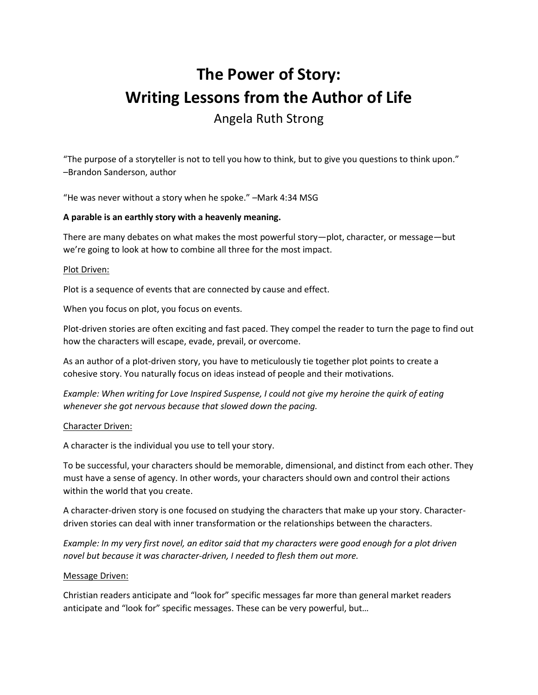# **The Power of Story: Writing Lessons from the Author of Life** Angela Ruth Strong

"The purpose of a storyteller is not to tell you how to think, but to give you questions to think upon." –Brandon Sanderson, author

"He was never without a story when he spoke." –Mark 4:34 MSG

# **A parable is an earthly story with a heavenly meaning.**

There are many debates on what makes the most powerful story—plot, character, or message—but we're going to look at how to combine all three for the most impact.

#### Plot Driven:

Plot is a sequence of events that are connected by cause and effect.

When you focus on plot, you focus on events.

Plot-driven stories are often exciting and fast paced. They compel the reader to turn the page to find out how the characters will escape, evade, prevail, or overcome.

As an author of a plot-driven story, you have to meticulously tie together plot points to create a cohesive story. You naturally focus on ideas instead of people and their motivations.

*Example: When writing for Love Inspired Suspense, I could not give my heroine the quirk of eating whenever she got nervous because that slowed down the pacing.*

#### Character Driven:

A character is the individual you use to tell your story.

To be successful, your characters should be memorable, dimensional, and distinct from each other. They must have a sense of agency. In other words, your characters should own and control their actions within the world that you create.

A character-driven story is one focused on studying the characters that make up your story. Characterdriven stories can deal with inner transformation or the relationships between the characters.

*Example: In my very first novel, an editor said that my characters were good enough for a plot driven novel but because it was character-driven, I needed to flesh them out more.*

#### Message Driven:

Christian readers anticipate and "look for" specific messages far more than general market readers anticipate and "look for" specific messages. These can be very powerful, but…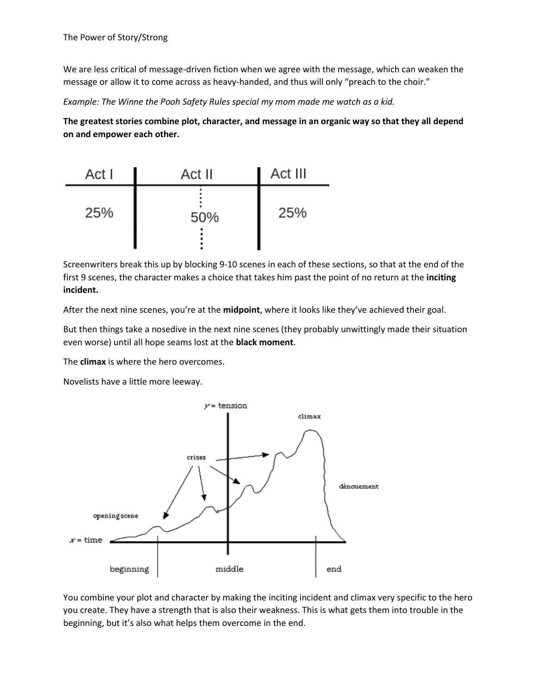We are less critical of message-driven fiction when we agree with the message, which can weaken the message or allow it to come across as heavy-handed, and thus will only "preach to the choir."

*Example: The Winne the Pooh Safety Rules special my mom made me watch as a kid.*

**The greatest stories combine plot, character, and message in an organic way so that they all depend on and empower each other.**



Screenwriters break this up by blocking 9-10 scenes in each of these sections, so that at the end of the first 9 scenes, the character makes a choice that takes him past the point of no return at the **inciting incident.**

After the next nine scenes, you're at the **midpoint**, where it looks like they've achieved their goal.

But then things take a nosedive in the next nine scenes (they probably unwittingly made their situation even worse) until all hope seams lost at the **black moment**.

The **climax** is where the hero overcomes.

Novelists have a little more leeway.



You combine your plot and character by making the inciting incident and climax very specific to the hero you create. They have a strength that is also their weakness. This is what gets them into trouble in the beginning, but it's also what helps them overcome in the end.